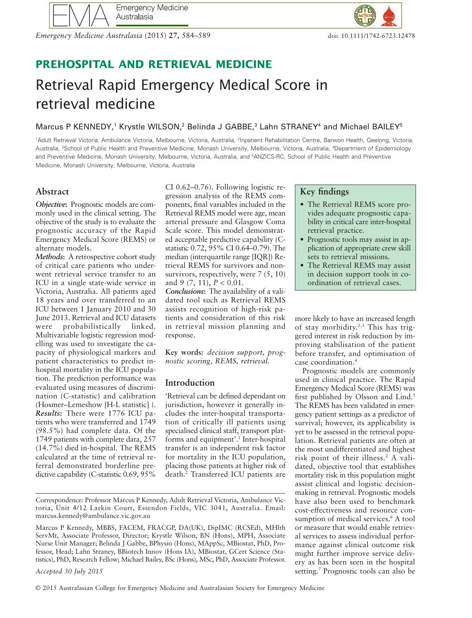*Emergency Medicine Australasia* (2015) **27,** 584–589 doi: 10.1111/1742-6723.12478

## **PREHOSPITAL AND RETRIEVAL MEDICINE**

# Retrieval Rapid Emergency Medical Score in retrieval medicine

Marcus P KENNEDY,<sup>1</sup> Krystle WILSON,<sup>2</sup> Belinda J GABBE,<sup>3</sup> Lahn STRANEY<sup>4</sup> and Michael BAILEY<sup>5</sup>

<sup>1</sup>Adult Retrieval Victoria, Ambulance Victoria, Melbourne, Victoria, Australia, <sup>2</sup>Inpatient Rehabilitation Centre, Barwon Health, Geelong, Victoria, Australia, <sup>3</sup>School of Public Health and Preventive Medicine, Monash University, Melbourne, Victoria, Australia, <sup>4</sup>Department of Epidemiology and Preventive Medicine, Monash University, Melbourne, Victoria, Australia, and <sup>5</sup> ANZICS-RC, School of Public Health and Preventive Medicine, Monash University, Melbourne, Victoria, Australia

#### **Abstract**

*Objective***:** Prognostic models are commonly used in the clinical setting. The objective of the study is to evaluate the prognostic accuracy of the Rapid Emergency Medical Score (REMS) or alternate models.

*Methods***:** A retrospective cohort study of critical care patients who underwent retrieval service transfer to an ICU in a single state-wide service in Victoria, Australia. All patients aged 18 years and over transferred to an ICU between 1 January 2010 and 30 June 2013. Retrieval and ICU datasets were probabilistically linked. Multivariable logistic regression modelling was used to investigate the capacity of physiological markers and patient characteristics to predict inhospital mortality in the ICU population. The prediction performance was evaluated using measures of discrimination (C-statistic) and calibration (Hosmer–Lemeshow [H-L statistic] ). *Results***:** There were 1776 ICU patients who were transferred and 1749 (98.5%) had complete data. Of the 1749 patients with complete data, 257 (14.7%) died in-hospital. The REMS calculated at the time of retrieval referral demonstrated borderline predictive capability (C-statistic 0.69, 95%

CI 0.62–0.76). Following logistic regression analysis of the REMS components, final variables included in the Retrieval REMS model were age, mean arterial pressure and Glasgow Coma Scale score. This model demonstrated acceptable predictive capability (Cstatistic 0.72, 95% CI 0.64–0.79). The median (interquartile range [IQR]) Retrieval REMS for survivors and nonsurvivors, respectively, were 7 (5, 10) and 9 (7, 11), *P* < 0.01.

*Conclusions***:** The availability of a validated tool such as Retrieval REMS assists recognition of high-risk patients and consideration of this risk in retrieval mission planning and response.

**Key words:** *decision support, prognostic scoring, REMS, retrieval.*

#### **Introduction**

'Retrieval can be defined dependant on jurisdiction, however it generally includes the inter-hospital transportation of critically ill patients using specialised clinical staff, transport platforms and equipment'.1 Inter-hospital transfer is an independent risk factor for mortality in the ICU population, placing those patients at higher risk of death.2 Transferred ICU patients are

### **Key findings**

- The Retrieval REMS score provides adequate prognostic capability in critical care inter-hospital retrieval practice.
- Prognostic tools may assist in application of appropriate crew skill sets to retrieval missions.
- The Retrieval REMS may assist in decision support tools in coordination of retrieval cases.

more likely to have an increased length of stay morbidity.2,3 This has triggered interest in risk reduction by improving stabilisation of the patient before transfer, and optimisation of case coordination.4

Prognostic models are commonly used in clinical practice. The Rapid Emergency Medical Score (REMS) was first published by Olsson and Lind.<sup>5</sup> The REMS has been validated in emergency patient settings as a predictor of survival; however, its applicability is yet to be assessed in the retrieval population. Retrieval patients are often at the most undifferentiated and highest risk point of their illness.2 A validated, objective tool that establishes mortality risk in this population might assist clinical and logistic decisionmaking in retrieval. Prognostic models have also been used to benchmark cost-effectiveness and resource consumption of medical services.<sup>6</sup> A tool or measure that would enable retrieval services to assess individual performance against clinical outcome risk might further improve service delivery as has been seen in the hospital setting.<sup>7</sup> Prognostic tools can also be

Correspondence: Professor Marcus P Kennedy, Adult Retrieval Victoria, Ambulance Victoria, Unit 4/12 Larkin Court, Essendon Fields, VIC 3041, Australia. Email: marcus.kennedy@ambulance.vic.gov.au

Marcus P Kennedy, MBBS, FACEM, FRACGP, DA(UK), DipIMC (RCSEd), MHlth ServMt, Associate Professor, Director; Krystle Wilson, BN (Hons), MPH, Associate Nurse Unit Manager; Belinda J Gabbe, BPhysio (Hons), MAppSc, MBiostat, PhD, Professor, Head; Lahn Straney, BBiotech Innov (Hons IA), MBiostat, GCert Science (Statistics), PhD, Research Fellow; Michael Bailey, BSc (Hons), MSc, PhD, Associate Professor.

*Accepted 30 July 2015*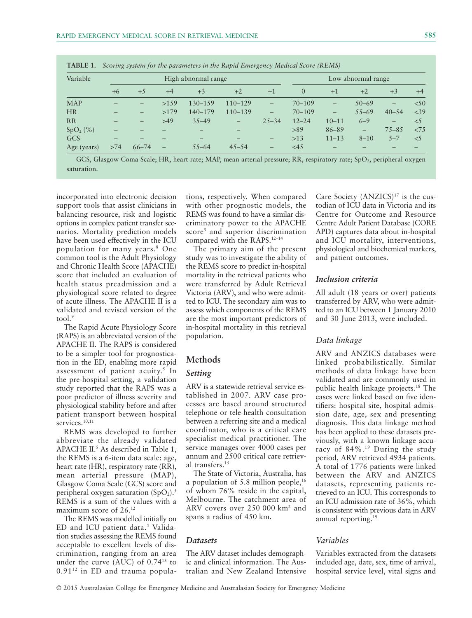| Variable    |      | High abnormal range |                          |                   |             |                          | Low abnormal range |                   |                   |                   |          |
|-------------|------|---------------------|--------------------------|-------------------|-------------|--------------------------|--------------------|-------------------|-------------------|-------------------|----------|
|             | $+6$ | $+5$                | $+4$                     | $+3$              | $+2$        | $+1$                     | $\overline{0}$     | $+1$              | $+2$              | $+3$              | $+4$     |
| <b>MAP</b>  |      | —                   | >159                     | 130-159           | $110 - 129$ |                          | $70 - 109$         | $\qquad \qquad -$ | $50 - 69$         | $\qquad \qquad -$ | < 50     |
| <b>HR</b>   |      | —                   | >179                     | 140-179           | 110-139     | $\qquad \qquad -$        | $70 - 109$         | —                 | $55 - 69$         | $40 - 54$         | $<$ 39   |
| <b>RR</b>   |      | —                   | >49                      | $35 - 49$         | —           | $25 - 34$                | $12 - 24$          | $10 - 11$         | $6 - 9$           | $\qquad \qquad -$ | $\leq$ 5 |
| $SpO2(\%)$  |      |                     |                          | $\qquad \qquad -$ |             |                          | >89                | 86-89             | $\qquad \qquad -$ | $75 - 85$         | <7.5     |
| GCS         | —    |                     |                          |                   | —           | $\overline{\phantom{0}}$ | >13                | $11 - 13$         | $8 - 10$          | $5 - 7$           | $\leq$ 5 |
| Age (years) | >74  | $66 - 74$           | $\overline{\phantom{0}}$ | $55 - 64$         | $45 - 54$   | $\overline{\phantom{0}}$ | <45                |                   |                   |                   |          |

|  | <b>TABLE 1.</b> Scoring system for the parameters in the Rapid Emergency Medical Score (REMS) |  |  |  |  |  |  |  |
|--|-----------------------------------------------------------------------------------------------|--|--|--|--|--|--|--|
|--|-----------------------------------------------------------------------------------------------|--|--|--|--|--|--|--|

GCS, Glasgow Coma Scale; HR, heart rate; MAP, mean arterial pressure; RR, respiratory rate; SpO<sub>2</sub>, peripheral oxygen saturation.

incorporated into electronic decision support tools that assist clinicians in balancing resource, risk and logistic options in complex patient transfer scenarios. Mortality prediction models have been used effectively in the ICU population for many years.8 One common tool is the Adult Physiology and Chronic Health Score (APACHE) score that included an evaluation of health status preadmission and a physiological score related to degree of acute illness. The APACHE II is a validated and revised version of the tool $\frac{9}{2}$ 

The Rapid Acute Physiology Score (RAPS) is an abbreviated version of the APACHE II. The RAPS is considered to be a simpler tool for prognostication in the ED, enabling more rapid assessment of patient acuity.<sup>5</sup> In the pre-hospital setting, a validation study reported that the RAPS was a poor predictor of illness severity and physiological stability before and after patient transport between hospital services.<sup>10,11</sup>

REMS was developed to further abbreviate the already validated APACHE  $II$ <sup>5</sup> As described in Table 1, the REMS is a 6-item data scale: age, heart rate (HR), respiratory rate (RR), mean arterial pressure (MAP), Glasgow Coma Scale (GCS) score and peripheral oxygen saturation  $(SpO<sub>2</sub>)$ .<sup>5</sup> REMS is a sum of the values with a maximum score of 26.12

The REMS was modelled initially on ED and ICU patient data.<sup>5</sup> Validation studies assessing the REMS found acceptable to excellent levels of discrimination, ranging from an area under the curve (AUC) of 0.7413 to  $0.91<sup>12</sup>$  in ED and trauma populations, respectively. When compared with other prognostic models, the REMS was found to have a similar discriminatory power to the APACHE score<sup>5</sup> and superior discrimination compared with the RAPS.12–14

The primary aim of the present study was to investigate the ability of the REMS score to predict in-hospital mortality in the retrieval patients who were transferred by Adult Retrieval Victoria (ARV), and who were admitted to ICU. The secondary aim was to assess which components of the REMS are the most important predictors of in-hospital mortality in this retrieval population.

#### **Methods**

#### *Setting*

ARV is a statewide retrieval service established in 2007. ARV case processes are based around structured telephone or tele-health consultation between a referring site and a medical coordinator, who is a critical care specialist medical practitioner. The service manages over 4000 cases per annum and 2500 critical care retrieval transfers.15

The State of Victoria, Australia, has a population of 5.8 million people, $16$ of whom 76% reside in the capital, Melbourne. The catchment area of ARV covers over 250 000 km2 and spans a radius of 450 km.

#### *Datasets*

The ARV dataset includes demographic and clinical information. The Australian and New Zealand Intensive Care Society  $(ANZICS)^{17}$  is the custodian of ICU data in Victoria and its Centre for Outcome and Resource Centre Adult Patient Database (CORE APD) captures data about in-hospital and ICU mortality, interventions, physiological and biochemical markers, and patient outcomes.

#### *Inclusion criteria*

All adult (18 years or over) patients transferred by ARV, who were admitted to an ICU between 1 January 2010 and 30 June 2013, were included.

#### *Data linkage*

ARV and ANZICS databases were linked probabilistically. Similar methods of data linkage have been validated and are commonly used in public health linkage projects.18 The cases were linked based on five identifiers: hospital site, hospital admission date, age, sex and presenting diagnosis. This data linkage method has been applied to these datasets previously, with a known linkage accuracy of 84%.19 During the study period, ARV retrieved 4934 patients. A total of 1776 patients were linked between the ARV and ANZICS datasets, representing patients retrieved to an ICU. This corresponds to an ICU admission rate of 36%, which is consistent with previous data in ARV annual reporting. $19$ 

#### *Variables*

Variables extracted from the datasets included age, date, sex, time of arrival, hospital service level, vital signs and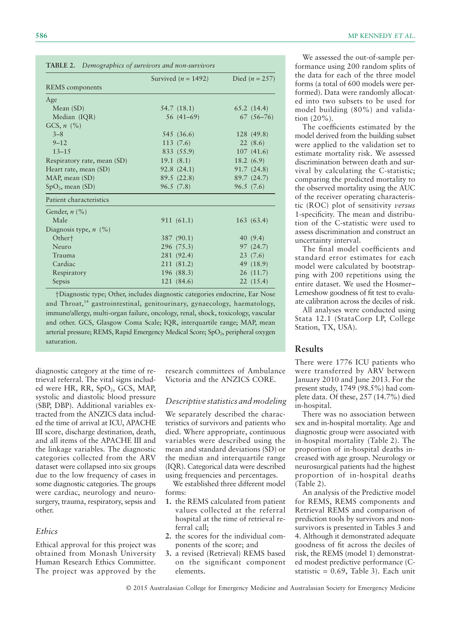|                             | Survived $(n = 1492)$ | Died ( $n = 257$ ) |
|-----------------------------|-----------------------|--------------------|
| <b>REMS</b> components      |                       |                    |
| Age                         |                       |                    |
| Mean $(SD)$                 | 54.7 (18.1)           | 65.2(14.4)         |
| Median (IQR)                | 56 (41–69)            | $67(56-76)$        |
| GCS, $n$ (%)                |                       |                    |
| $3 - 8$                     | 545 (36.6)            | 128 (49.8)         |
| $9 - 12$                    | 113(7.6)              | 22(8.6)            |
| $13 - 15$                   | 833 (55.9)            | 107(41.6)          |
| Respiratory rate, mean (SD) | 19.1(8.1)             | 18.2(6.9)          |
| Heart rate, mean (SD)       | 92.8(24.1)            | 91.7(24.8)         |
| MAP, mean (SD)              | 89.5(22.8)            | 89.7 (24.7)        |
| $SpO2$ , mean (SD)          | 96.5(7.8)             | 96.5(7.6)          |
| Patient characteristics     |                       |                    |
| Gender, $n$ (%)             |                       |                    |
| Male                        | 911 (61.1)            | 163(63.4)          |
| Diagnosis type, $n$ (%)     |                       |                    |
| Other <sup>+</sup>          | 387 (90.1)            | 40 (9.4)           |
| Neuro                       | 296(75.3)             | 97(24.7)           |
| Trauma                      | 281 (92.4)            | 23(7.6)            |
| Cardiac                     | 211 (81.2)            | 49 (18.9)          |
| Respiratory                 | 196 (88.3)            | 26 (11.7)          |
| Sepsis                      | 121 (84.6)            | 22(15.4)           |

†Diagnostic type; Other, includes diagnostic categories endocrine, Ear Nose and Throat,<sup>14</sup> gastrointestinal, genitourinary, gynaecology, haematology, immune/allergy, multi-organ failure, oncology, renal, shock, toxicology, vascular and other. GCS, Glasgow Coma Scale; IQR, interquartile range; MAP, mean arterial pressure; REMS, Rapid Emergency Medical Score; SpO<sub>2</sub>, peripheral oxygen saturation.

diagnostic category at the time of retrieval referral. The vital signs included were HR, RR, SpO2, GCS, MAP, systolic and diastolic blood pressure (SBP, DBP). Additional variables extracted from the ANZICS data included the time of arrival at ICU, APACHE III score, discharge destination, death, and all items of the APACHE III and the linkage variables. The diagnostic categories collected from the ARV dataset were collapsed into six groups due to the low frequency of cases in some diagnostic categories. The groups were cardiac, neurology and neurosurgery, trauma, respiratory, sepsis and other.

#### *Ethics*

Ethical approval for this project was obtained from Monash University Human Research Ethics Committee. The project was approved by the

research committees of Ambulance Victoria and the ANZICS CORE.

#### *Descriptive statistics and modeling*

We separately described the characteristics of survivors and patients who died. Where appropriate, continuous variables were described using the mean and standard deviations (SD) or the median and interquartile range (IQR). Categorical data were described using frequencies and percentages.

We established three different model forms:

- **1.** the REMS calculated from patient values collected at the referral hospital at the time of retrieval referral call;
- **2.** the scores for the individual components of the score; and
- **3.** a revised (Retrieval) REMS based on the significant component elements.

We assessed the out-of-sample performance using 200 random splits of the data for each of the three model forms (a total of 600 models were performed). Data were randomly allocated into two subsets to be used for model building (80%) and validation (20%).

The coefficients estimated by the model derived from the building subset were applied to the validation set to estimate mortality risk. We assessed discrimination between death and survival by calculating the C-statistic; comparing the predicted mortality to the observed mortality using the AUC of the receiver operating characteristic (ROC) plot of sensitivity *versus* 1-specificity. The mean and distribution of the C-statistic were used to assess discrimination and construct an uncertainty interval.

The final model coefficients and standard error estimates for each model were calculated by bootstrapping with 200 repetitions using the entire dataset. We used the Hosmer– Lemeshow goodness of fit test to evaluate calibration across the deciles of risk.

All analyses were conducted using Stata 12.1 (StataCorp LP, College Station, TX, USA).

#### **Results**

There were 1776 ICU patients who were transferred by ARV between January 2010 and June 2013. For the present study, 1749 (98.5%) had complete data. Of these, 257 (14.7%) died in-hospital.

There was no association between sex and in-hospital mortality. Age and diagnostic group were associated with in-hospital mortality (Table 2). The proportion of in-hospital deaths increased with age group. Neurology or neurosurgical patients had the highest proportion of in-hospital deaths (Table 2).

An analysis of the Predictive model for REMS, REMS components and Retrieval REMS and comparison of prediction tools by survivors and nonsurvivors is presented in Tables 3 and 4. Although it demonstrated adequate goodness of fit across the deciles of risk, the REMS (model 1) demonstrated modest predictive performance (Cstatistic =  $0.69$ , Table 3). Each unit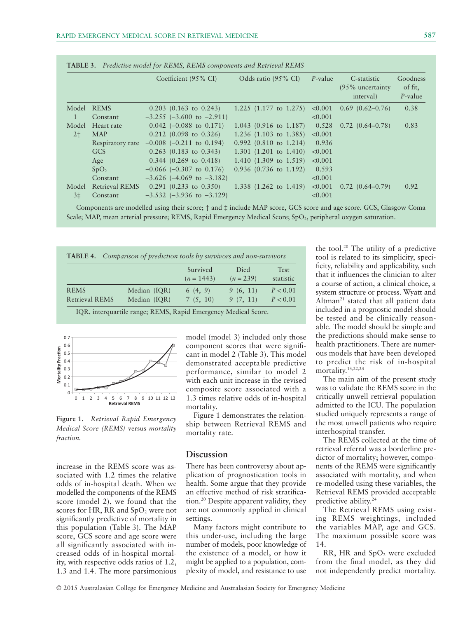|                |                       | Coefficient (95% CI)              | Odds ratio (95% CI)                 | $P$ -value | C-statistic<br>$(95\%$ uncertainty<br>interval) | Goodness<br>of fit,<br>P-value |
|----------------|-----------------------|-----------------------------------|-------------------------------------|------------|-------------------------------------------------|--------------------------------|
| Model          | <b>REMS</b>           | $0.203$ (0.163 to 0.243)          | 1.225 $(1.177 \text{ to } 1.275)$   | < 0.001    | $0.69$ $(0.62 - 0.76)$                          | 0.38                           |
| $\mathbf{1}$   | Constant              | $-3.255$ ( $-3.600$ to $-2.911$ ) |                                     | < 0.001    |                                                 |                                |
| Model          | Heart rate            | $0.042$ (-0.088 to 0.171)         | $1.043$ (0.916 to 1.187)            | 0.528      | $0.72(0.64 - 0.78)$                             | 0.83                           |
| $2+$           | <b>MAP</b>            | $0.212$ (0.098 to 0.326)          | 1.236 $(1.103 \text{ to } 1.385)$   | < 0.001    |                                                 |                                |
|                | Respiratory rate      | $-0.008$ ( $-0.211$ to 0.194)     | $0.992$ $(0.810 \text{ to } 1.214)$ | 0.936      |                                                 |                                |
|                | GCS                   | $0.263$ (0.183 to 0.343)          | 1.301 $(1.201 \text{ to } 1.410)$   | < 0.001    |                                                 |                                |
|                | Age                   | $0.344$ (0.269 to 0.418)          | 1.410 $(1.309 \text{ to } 1.519)$   | < 0.001    |                                                 |                                |
|                | SpO <sub>2</sub>      | $-0.066$ ( $-0.307$ to 0.176)     | $0.936$ (0.736 to 1.192)            | 0.593      |                                                 |                                |
|                | Constant              | $-3.626$ ( $-4.069$ to $-3.182$ ) |                                     | < 0.001    |                                                 |                                |
| Model          | <b>Retrieval REMS</b> | $0.291$ (0.233 to 0.350)          | 1.338 $(1.262 \text{ to } 1.419)$   | < 0.001    | $0.72$ $(0.64 - 0.79)$                          | 0.92                           |
| 3 <sup>±</sup> | Constant              | $-3.532$ $(-3.936$ to $-3.129)$   |                                     | < 0.001    |                                                 |                                |

**TABLE 3.** *Predictive model for REMS, REMS components and Retrieval REMS*

Components are modelled using their score; † and ‡ include MAP score, GCS score and age score. GCS, Glasgow Coma Scale; MAP, mean arterial pressure; REMS, Rapid Emergency Medical Score; SpO<sub>2</sub>, peripheral oxygen saturation.

| Comparison of prediction tools by survivors and non-survivors<br>TABLE 4. |                              |                          |                      |                          |  |  |  |  |  |
|---------------------------------------------------------------------------|------------------------------|--------------------------|----------------------|--------------------------|--|--|--|--|--|
|                                                                           |                              | Survived<br>$(n = 1443)$ | Died<br>$(n = 239)$  | <b>Test</b><br>statistic |  |  |  |  |  |
| <b>REMS</b><br><b>Retrieval REMS</b>                                      | Median (IQR)<br>Median (IQR) | 6(4, 9)<br>7(5, 10)      | 9(6, 11)<br>9(7, 11) | P < 0.01<br>P < 0.01     |  |  |  |  |  |

IQR, interquartile range; REMS, Rapid Emergency Medical Score.



**Figure 1.** *Retrieval Rapid Emergency Medical Score (REMS)* versus *mortality fraction.*

increase in the REMS score was associated with 1.2 times the relative odds of in-hospital death. When we modelled the components of the REMS score (model 2), we found that the scores for HR, RR and  $SpO<sub>2</sub>$  were not significantly predictive of mortality in this population (Table 3). The MAP score, GCS score and age score were all significantly associated with increased odds of in-hospital mortality, with respective odds ratios of 1.2, 1.3 and 1.4. The more parsimonious

model (model 3) included only those component scores that were significant in model 2 (Table 3). This model demonstrated acceptable predictive performance, similar to model 2 with each unit increase in the revised composite score associated with a 1.3 times relative odds of in-hospital mortality.

Figure 1 demonstrates the relationship between Retrieval REMS and mortality rate.

#### **Discussion**

There has been controversy about application of prognostication tools in health. Some argue that they provide an effective method of risk stratification.20 Despite apparent validity, they are not commonly applied in clinical settings.

Many factors might contribute to this under-use, including the large number of models, poor knowledge of the existence of a model, or how it might be applied to a population, complexity of model, and resistance to use

the tool.20 The utility of a predictive tool is related to its simplicity, specificity, reliability and applicability, such that it influences the clinician to alter a course of action, a clinical choice, a system structure or process. Wyatt and Altman<sup>21</sup> stated that all patient data included in a prognostic model should be tested and be clinically reasonable. The model should be simple and the predictions should make sense to health practitioners. There are numerous models that have been developed to predict the risk of in-hospital mortality.13,22,23

The main aim of the present study was to validate the REMS score in the critically unwell retrieval population admitted to the ICU. The population studied uniquely represents a range of the most unwell patients who require interhospital transfer.

The REMS collected at the time of retrieval referral was a borderline predictor of mortality; however, components of the REMS were significantly associated with mortality, and when re-modelled using these variables, the Retrieval REMS provided acceptable predictive ability.24

The Retrieval REMS using existing REMS weightings, included the variables MAP, age and GCS. The maximum possible score was 14.

RR, HR and  $SpO<sub>2</sub>$  were excluded from the final model, as they did not independently predict mortality.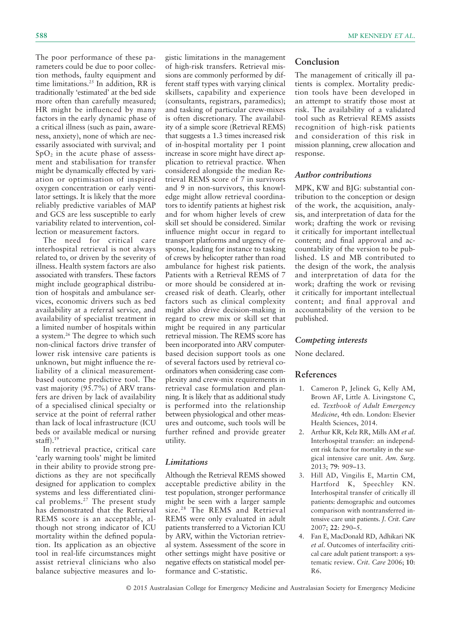The poor performance of these parameters could be due to poor collection methods, faulty equipment and time limitations.25 In addition, RR is traditionally 'estimated' at the bed side more often than carefully measured; HR might be influenced by many factors in the early dynamic phase of a critical illness (such as pain, awareness, anxiety), none of which are necessarily associated with survival; and  $SpO<sub>2</sub>$  in the acute phase of assessment and stabilisation for transfer might be dynamically effected by variation or optimisation of inspired oxygen concentration or early ventilator settings. It is likely that the more reliably predictive variables of MAP and GCS are less susceptible to early variability related to intervention, collection or measurement factors.

The need for critical care interhospital retrieval is not always related to, or driven by the severity of illness. Health system factors are also associated with transfers. These factors might include geographical distribution of hospitals and ambulance services, economic drivers such as bed availability at a referral service, and availability of specialist treatment in a limited number of hospitals within a system.26 The degree to which such non-clinical factors drive transfer of lower risk intensive care patients is unknown, but might influence the reliability of a clinical measurementbased outcome predictive tool. The vast majority (95.7%) of ARV transfers are driven by lack of availability of a specialised clinical specialty or service at the point of referral rather than lack of local infrastructure (ICU beds or available medical or nursing staff).19

In retrieval practice, critical care 'early warning tools' might be limited in their ability to provide strong predictions as they are not specifically designed for application to complex systems and less differentiated clinical problems.27 The present study has demonstrated that the Retrieval REMS score is an acceptable, although not strong indicator of ICU mortality within the defined population. Its application as an objective tool in real-life circumstances might assist retrieval clinicians who also balance subjective measures and logistic limitations in the management of high-risk transfers. Retrieval missions are commonly performed by different staff types with varying clinical skillsets, capability and experience (consultants, registrars, paramedics); and tasking of particular crew-mixes is often discretionary. The availability of a simple score (Retrieval REMS) that suggests a 1.3 times increased risk of in-hospital mortality per 1 point increase in score might have direct application to retrieval practice. When considered alongside the median Retrieval REMS score of 7 in survivors and 9 in non-survivors, this knowledge might allow retrieval coordinators to identify patients at highest risk and for whom higher levels of crew skill set should be considered. Similar influence might occur in regard to transport platforms and urgency of response, leading for instance to tasking of crews by helicopter rather than road ambulance for highest risk patients. Patients with a Retrieval REMS of 7 or more should be considered at increased risk of death. Clearly, other factors such as clinical complexity might also drive decision-making in regard to crew mix or skill set that might be required in any particular retrieval mission. The REMS score has been incorporated into ARV computerbased decision support tools as one of several factors used by retrieval coordinators when considering case complexity and crew-mix requirements in retrieval case formulation and planning. It is likely that as additional study is performed into the relationship between physiological and other measures and outcome, such tools will be further refined and provide greater utility.

#### *Limitations*

Although the Retrieval REMS showed acceptable predictive ability in the test population, stronger performance might be seen with a larger sample size.<sup>28</sup> The REMS and Retrieval REMS were only evaluated in adult patients transferred to a Victorian ICU by ARV, within the Victorian retrieval system. Assessment of the score in other settings might have positive or negative effects on statistical model performance and C-statistic.

#### **Conclusion**

The management of critically ill patients is complex. Mortality prediction tools have been developed in an attempt to stratify those most at risk. The availability of a validated tool such as Retrieval REMS assists recognition of high-risk patients and consideration of this risk in mission planning, crew allocation and response.

#### *Author contributions*

MPK, KW and BJG: substantial contribution to the conception or design of the work, the acquisition, analysis, and interpretation of data for the work; drafting the work or revising it critically for important intellectual content; and final approval and accountability of the version to be published. LS and MB contributed to the design of the work, the analysis and interpretation of data for the work; drafting the work or revising it critically for important intellectual content; and final approval and accountability of the version to be published.

#### *Competing interests*

None declared.

#### **References**

- 1. Cameron P, Jelinek G, Kelly AM, Brown AF, Little A. Livingstone C, ed. *Textbook of Adult Emergency Medicine*, 4th edn. London: Elsevier Health Sciences, 2014.
- 2. Arthur KR, Kelz RR, Mills AM *et al*. Interhospital transfer: an independent risk factor for mortality in the surgical intensive care unit. *Am. Surg.* 2013; **79**: 909–13.
- 3. Hill AD, Vingilis E, Martin CM, Hartford K, Speechley KN. Interhospital transfer of critically ill patients: demographic and outcomes comparison with nontransferred intensive care unit patients. *J. Crit. Care* 2007; **22**: 290–5.
- 4. Fan E, MacDonald RD, Adhikari NK *et al*. Outcomes of interfacility critical care adult patient transport: a systematic review. *Crit. Care* 2006; **10**: R6.